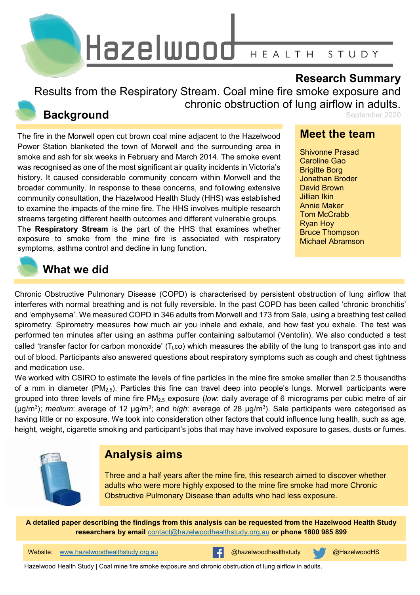

### **Research Summary**

Results from the Respiratory Stream. Coal mine fire smoke exposure and chronic obstruction of lung airflow in adults.

## **Background**

The fire in the Morwell open cut brown coal mine adjacent to the Hazelwood Power Station blanketed the town of Morwell and the surrounding area in smoke and ash for six weeks in February and March 2014. The smoke event was recognised as one of the most significant air quality incidents in Victoria's history. It caused considerable community concern within Morwell and the broader community. In response to these concerns, and following extensive community consultation, the Hazelwood Health Study (HHS) was established to examine the impacts of the mine fire. The HHS involves multiple research streams targeting different health outcomes and different vulnerable groups. The **Respiratory Stream** is the part of the HHS that examines whether exposure to smoke from the mine fire is associated with respiratory symptoms, asthma control and decline in lung function.

### September 2020

### **Meet the team**

Shivonne Prasad Caroline Gao Brigitte Borg Jonathan Broder David Brown Jillian Ikin Annie Maker Tom McCrabb Ryan Hoy Bruce Thompson Michael Abramson

## **What we did**

Chronic Obstructive Pulmonary Disease (COPD) is characterised by persistent obstruction of lung airflow that interferes with normal breathing and is not fully reversible. In the past COPD has been called 'chronic bronchitis' and 'emphysema'. We measured COPD in 346 adults from Morwell and 173 from Sale, using a breathing test called spirometry. Spirometry measures how much air you inhale and exhale, and how fast you exhale. The test was performed ten minutes after using an asthma puffer containing salbutamol (Ventolin). We also conducted a test called 'transfer factor for carbon monoxide' ( $T<sub>L</sub>co$ ) which measures the ability of the lung to transport gas into and out of blood. Participants also answered questions about respiratory symptoms such as cough and chest tightness and medication use.

We worked with CSIRO to estimate the levels of fine particles in the mine fire smoke smaller than 2.5 thousandths of a mm in diameter ( $PM_{2.5}$ ). Particles this fine can travel deep into people's lungs. Morwell participants were grouped into three levels of mine fire PM2.5 exposure (*low*: daily average of 6 micrograms per cubic metre of air (µg/m<sup>3</sup>); *medium*: average of 12 µg/m<sup>3</sup>; and *high*: average of 28 µg/m<sup>3</sup>). Sale participants were categorised as having little or no exposure. We took into consideration other factors that could influence lung health, such as age, height, weight, cigarette smoking and participant's jobs that may have involved exposure to gases, dusts or fumes.



## **Analysis aims**

Three and a half years after the mine fire, this research aimed to discover whether adults who were more highly exposed to the mine fire smoke had more Chronic Obstructive Pulmonary Disease than adults who had less exposure.

**A detailed paper describing the findings from this analysis can be requested from the Hazelwood Health Study researchers by email** [contact@hazelwoodhealthstudy.org.au](mailto:contact@hazelwoodhealthstudy.org.au) **or phone 1800 985 899**

Website: [www.hazelwoodhealthstudy.org.au](http://www.hazelwoodhealthstudy.org.au/) **busiters and the experience of the experience of the experience of the experience of the experience of the experience of the experience of the experience of the experience of the e** 



Hazelwood Health Study | Coal mine fire smoke exposure and chronic obstruction of lung airflow in adults.